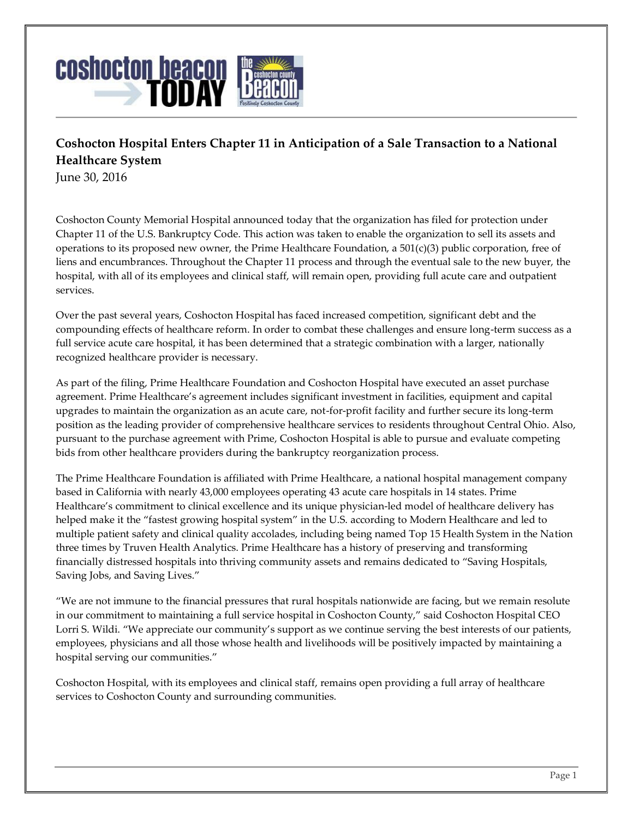

## **Coshocton Hospital Enters Chapter 11 in Anticipation of a Sale Transaction to a National Healthcare System**

June 30, 2016

Coshocton County Memorial Hospital announced today that the organization has filed for protection under Chapter 11 of the U.S. Bankruptcy Code. This action was taken to enable the organization to sell its assets and operations to its proposed new owner, the Prime Healthcare Foundation, a  $501(c)(3)$  public corporation, free of liens and encumbrances. Throughout the Chapter 11 process and through the eventual sale to the new buyer, the hospital, with all of its employees and clinical staff, will remain open, providing full acute care and outpatient services.

Over the past several years, Coshocton Hospital has faced increased competition, significant debt and the compounding effects of healthcare reform. In order to combat these challenges and ensure long-term success as a full service acute care hospital, it has been determined that a strategic combination with a larger, nationally recognized healthcare provider is necessary.

As part of the filing, Prime Healthcare Foundation and Coshocton Hospital have executed an asset purchase agreement. Prime Healthcare's agreement includes significant investment in facilities, equipment and capital upgrades to maintain the organization as an acute care, not-for-profit facility and further secure its long-term position as the leading provider of comprehensive healthcare services to residents throughout Central Ohio. Also, pursuant to the purchase agreement with Prime, Coshocton Hospital is able to pursue and evaluate competing bids from other healthcare providers during the bankruptcy reorganization process.

The Prime Healthcare Foundation is affiliated with Prime Healthcare, a national hospital management company based in California with nearly 43,000 employees operating 43 acute care hospitals in 14 states. Prime Healthcare's commitment to clinical excellence and its unique physician-led model of healthcare delivery has helped make it the "fastest growing hospital system" in the U.S. according to Modern Healthcare and led to multiple patient safety and clinical quality accolades, including being named Top 15 Health System in the Nation three times by Truven Health Analytics. Prime Healthcare has a history of preserving and transforming financially distressed hospitals into thriving community assets and remains dedicated to "Saving Hospitals, Saving Jobs, and Saving Lives."

"We are not immune to the financial pressures that rural hospitals nationwide are facing, but we remain resolute in our commitment to maintaining a full service hospital in Coshocton County," said Coshocton Hospital CEO Lorri S. Wildi. "We appreciate our community's support as we continue serving the best interests of our patients, employees, physicians and all those whose health and livelihoods will be positively impacted by maintaining a hospital serving our communities."

Coshocton Hospital, with its employees and clinical staff, remains open providing a full array of healthcare services to Coshocton County and surrounding communities.